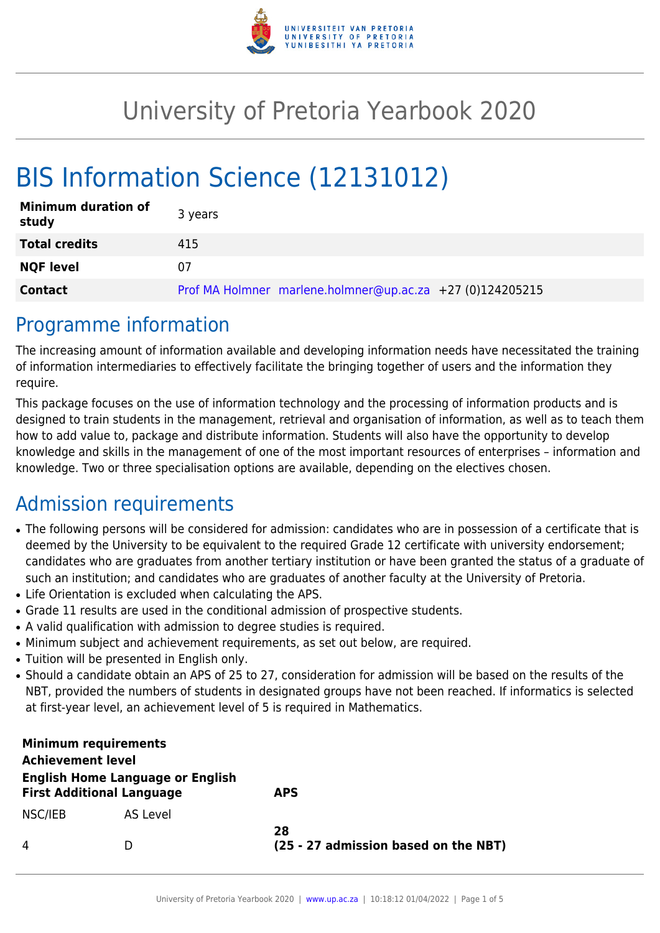

## University of Pretoria Yearbook 2020

# BIS Information Science (12131012)

| <b>Minimum duration of</b><br>study | 3 years                                                   |
|-------------------------------------|-----------------------------------------------------------|
| <b>Total credits</b>                | 415                                                       |
| <b>NQF level</b>                    | 07                                                        |
| <b>Contact</b>                      | Prof MA Holmner marlene.holmner@up.ac.za +27 (0)124205215 |

### Programme information

The increasing amount of information available and developing information needs have necessitated the training of information intermediaries to effectively facilitate the bringing together of users and the information they require.

This package focuses on the use of information technology and the processing of information products and is designed to train students in the management, retrieval and organisation of information, as well as to teach them how to add value to, package and distribute information. Students will also have the opportunity to develop knowledge and skills in the management of one of the most important resources of enterprises – information and knowledge. Two or three specialisation options are available, depending on the electives chosen.

### Admission requirements

- The following persons will be considered for admission: candidates who are in possession of a certificate that is deemed by the University to be equivalent to the required Grade 12 certificate with university endorsement; candidates who are graduates from another tertiary institution or have been granted the status of a graduate of such an institution; and candidates who are graduates of another faculty at the University of Pretoria.
- Life Orientation is excluded when calculating the APS.
- Grade 11 results are used in the conditional admission of prospective students.
- A valid qualification with admission to degree studies is required.
- Minimum subject and achievement requirements, as set out below, are required.
- Tuition will be presented in English only.
- Should a candidate obtain an APS of 25 to 27, consideration for admission will be based on the results of the NBT, provided the numbers of students in designated groups have not been reached. If informatics is selected at first-year level, an achievement level of 5 is required in Mathematics.

| <b>Minimum requirements</b><br><b>Achievement level</b>                     |          |                                            |
|-----------------------------------------------------------------------------|----------|--------------------------------------------|
| <b>English Home Language or English</b><br><b>First Additional Language</b> |          | <b>APS</b>                                 |
| NSC/IEB                                                                     | AS Level |                                            |
| 4                                                                           | Ð        | 28<br>(25 - 27 admission based on the NBT) |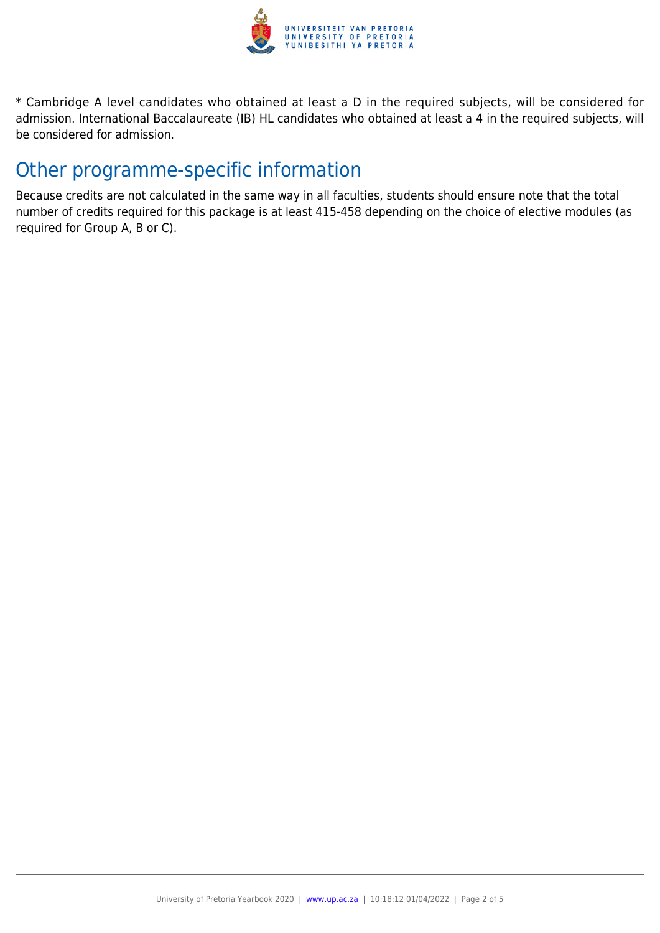

\* Cambridge A level candidates who obtained at least a D in the required subjects, will be considered for admission. International Baccalaureate (IB) HL candidates who obtained at least a 4 in the required subjects, will be considered for admission.

### Other programme-specific information

Because credits are not calculated in the same way in all faculties, students should ensure note that the total number of credits required for this package is at least 415-458 depending on the choice of elective modules (as required for Group A, B or C).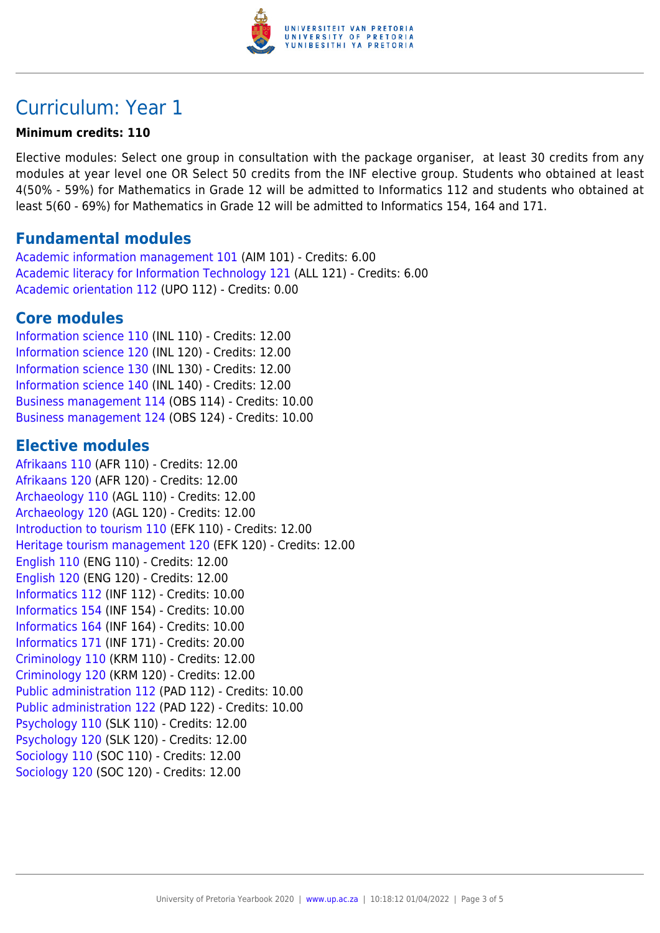

### Curriculum: Year 1

#### **Minimum credits: 110**

Elective modules: Select one group in consultation with the package organiser, at least 30 credits from any modules at year level one OR Select 50 credits from the INF elective group. Students who obtained at least 4(50% - 59%) for Mathematics in Grade 12 will be admitted to Informatics 112 and students who obtained at least 5(60 - 69%) for Mathematics in Grade 12 will be admitted to Informatics 154, 164 and 171.

### **Fundamental modules**

[Academic information management 101](https://www.up.ac.za/yearbooks/2020/modules/view/AIM 101) (AIM 101) - Credits: 6.00 [Academic literacy for Information Technology 121](https://www.up.ac.za/yearbooks/2020/modules/view/ALL 121) (ALL 121) - Credits: 6.00 [Academic orientation 112](https://www.up.ac.za/yearbooks/2020/modules/view/UPO 112) (UPO 112) - Credits: 0.00

### **Core modules**

[Information science 110](https://www.up.ac.za/yearbooks/2020/modules/view/INL 110) (INL 110) - Credits: 12.00 [Information science 120](https://www.up.ac.za/yearbooks/2020/modules/view/INL 120) (INL 120) - Credits: 12.00 [Information science 130](https://www.up.ac.za/yearbooks/2020/modules/view/INL 130) (INL 130) - Credits: 12.00 [Information science 140](https://www.up.ac.za/yearbooks/2020/modules/view/INL 140) (INL 140) - Credits: 12.00 [Business management 114](https://www.up.ac.za/yearbooks/2020/modules/view/OBS 114) (OBS 114) - Credits: 10.00 [Business management 124](https://www.up.ac.za/yearbooks/2020/modules/view/OBS 124) (OBS 124) - Credits: 10.00

### **Elective modules**

[Afrikaans 110](https://www.up.ac.za/yearbooks/2020/modules/view/AFR 110) (AFR 110) - Credits: 12.00 [Afrikaans 120](https://www.up.ac.za/yearbooks/2020/modules/view/AFR 120) (AFR 120) - Credits: 12.00 [Archaeology 110](https://www.up.ac.za/yearbooks/2020/modules/view/AGL 110) (AGL 110) - Credits: 12.00 [Archaeology 120](https://www.up.ac.za/yearbooks/2020/modules/view/AGL 120) (AGL 120) - Credits: 12.00 [Introduction to tourism 110](https://www.up.ac.za/yearbooks/2020/modules/view/EFK 110) (EFK 110) - Credits: 12.00 [Heritage tourism management 120](https://www.up.ac.za/yearbooks/2020/modules/view/EFK 120) (EFK 120) - Credits: 12.00 [English 110](https://www.up.ac.za/yearbooks/2020/modules/view/ENG 110) (ENG 110) - Credits: 12.00 [English 120](https://www.up.ac.za/yearbooks/2020/modules/view/ENG 120) (ENG 120) - Credits: 12.00 [Informatics 112](https://www.up.ac.za/yearbooks/2020/modules/view/INF 112) (INF 112) - Credits: 10.00 [Informatics 154](https://www.up.ac.za/yearbooks/2020/modules/view/INF 154) (INF 154) - Credits: 10.00 [Informatics 164](https://www.up.ac.za/yearbooks/2020/modules/view/INF 164) (INF 164) - Credits: 10.00 [Informatics 171](https://www.up.ac.za/yearbooks/2020/modules/view/INF 171) (INF 171) - Credits: 20.00 [Criminology 110](https://www.up.ac.za/yearbooks/2020/modules/view/KRM 110) (KRM 110) - Credits: 12.00 [Criminology 120](https://www.up.ac.za/yearbooks/2020/modules/view/KRM 120) (KRM 120) - Credits: 12.00 [Public administration 112](https://www.up.ac.za/yearbooks/2020/modules/view/PAD 112) (PAD 112) - Credits: 10.00 [Public administration 122](https://www.up.ac.za/yearbooks/2020/modules/view/PAD 122) (PAD 122) - Credits: 10.00 [Psychology 110](https://www.up.ac.za/yearbooks/2020/modules/view/SLK 110) (SLK 110) - Credits: 12.00 [Psychology 120](https://www.up.ac.za/yearbooks/2020/modules/view/SLK 120) (SLK 120) - Credits: 12.00 [Sociology 110](https://www.up.ac.za/yearbooks/2020/modules/view/SOC 110) (SOC 110) - Credits: 12.00 [Sociology 120](https://www.up.ac.za/yearbooks/2020/modules/view/SOC 120) (SOC 120) - Credits: 12.00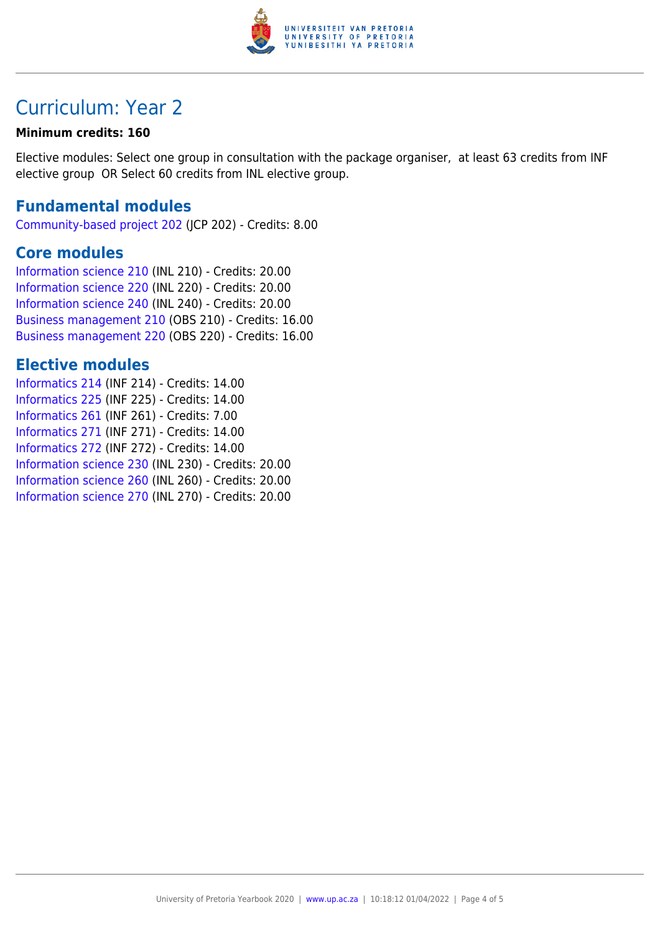

### Curriculum: Year 2

#### **Minimum credits: 160**

Elective modules: Select one group in consultation with the package organiser, at least 63 credits from INF elective group OR Select 60 credits from INL elective group.

### **Fundamental modules**

[Community-based project 202](https://www.up.ac.za/yearbooks/2020/modules/view/JCP 202) (JCP 202) - Credits: 8.00

#### **Core modules**

[Information science 210](https://www.up.ac.za/yearbooks/2020/modules/view/INL 210) (INL 210) - Credits: 20.00 [Information science 220](https://www.up.ac.za/yearbooks/2020/modules/view/INL 220) (INL 220) - Credits: 20.00 [Information science 240](https://www.up.ac.za/yearbooks/2020/modules/view/INL 240) (INL 240) - Credits: 20.00 [Business management 210](https://www.up.ac.za/yearbooks/2020/modules/view/OBS 210) (OBS 210) - Credits: 16.00 [Business management 220](https://www.up.ac.za/yearbooks/2020/modules/view/OBS 220) (OBS 220) - Credits: 16.00

### **Elective modules**

[Informatics 214](https://www.up.ac.za/yearbooks/2020/modules/view/INF 214) (INF 214) - Credits: 14.00 [Informatics 225](https://www.up.ac.za/yearbooks/2020/modules/view/INF 225) (INF 225) - Credits: 14.00 [Informatics 261](https://www.up.ac.za/yearbooks/2020/modules/view/INF 261) (INF 261) - Credits: 7.00 [Informatics 271](https://www.up.ac.za/yearbooks/2020/modules/view/INF 271) (INF 271) - Credits: 14.00 [Informatics 272](https://www.up.ac.za/yearbooks/2020/modules/view/INF 272) (INF 272) - Credits: 14.00 [Information science 230](https://www.up.ac.za/yearbooks/2020/modules/view/INL 230) (INL 230) - Credits: 20.00 [Information science 260](https://www.up.ac.za/yearbooks/2020/modules/view/INL 260) (INL 260) - Credits: 20.00 [Information science 270](https://www.up.ac.za/yearbooks/2020/modules/view/INL 270) (INL 270) - Credits: 20.00